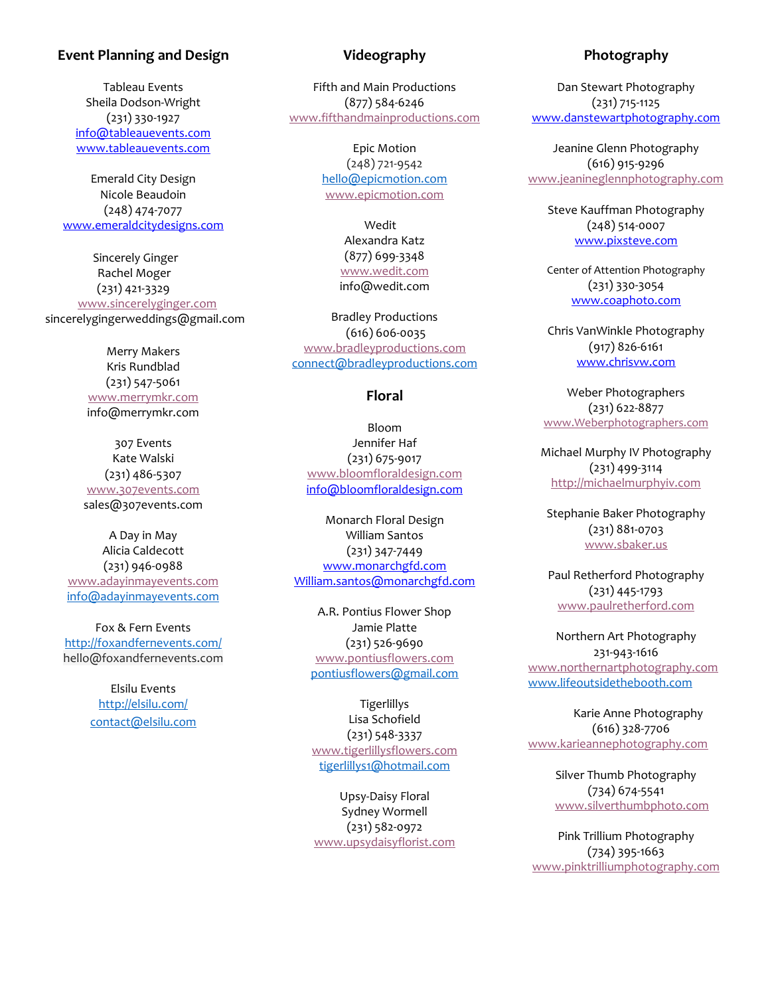## **Event Planning and Design**

Tableau Events Sheila Dodson-Wright (231) 330-1927 [info@tableauevents.com](mailto:info@tableauevents.com) [www.tableauevents.com](http://www.tableauevents.com/)

Emerald City Design Nicole Beaudoin (248) 474-7077 [www.emeraldcitydesigns.com](http://www.emeraldcitydesigns.com/)

 Sincerely Ginger Rachel Moger (231) 421-3329 [www.sincerelyginger.com](http://www.sincerelyginger.com/) sincerelygingerweddings@gmail.com

> Merry Makers Kris Rundblad (231) 547-5061 [www.merrymkr.com](http://www.merrymkr.com/) info@merrymkr.com

307 Events Kate Walski (231) 486-5307 [www.307events.com](http://www.307events.com/) sales@307events.com

A Day in May Alicia Caldecott (231) 946-0988 [www.adayinmayevents.com](http://www.adayinmayevents.com/) [info@adayinmayevents.com](mailto:info@adayinmayevents.com)

Fox & Fern Events <http://foxandfernevents.com/> hello@foxandfernevents.com

> Elsilu Events <http://elsilu.com/> [contact@elsilu.com](mailto:contact@elsilu.com)

# **Videography**

Fifth and Main Productions (877) 584-6246 [www.fifthandmainproductions.com](http://www.fifthandmainproductions.com/)

> Epic Motion (248) 721-9542 [hello@epicmotion.com](mailto:hello@epicmotion.com) [www.epicmotion.com](http://www.epicmotion.com/)

> > Wedit Alexandra Katz (877) 699-3348 [www.wedit.com](http://www.wedit.com/) info@wedit.com

Bradley Productions (616) 606-0035 [www.bradleyproductions.com](http://www.bradleyproductions.com/) [connect@bradleyproductions.com](mailto:connect@bradleyproductions.com)

#### **Floral**

Bloom Jennifer Haf (231) 675-9017 [www.bloomfloraldesign.com](http://www.bloomfloraldesign.com/) info@bloomfloraldesign.com

Monarch Floral Design William Santos (231) 347-7449 [www.monarchgfd.com](http://www.monarchgfd.com/) William.santos@monarchgfd.com

A.R. Pontius Flower Shop Jamie Platte (231) 526-9690 [www.pontiusflowers.com](http://www.pontiusflowers.com/) [pontiusflowers@gmail.com](mailto:pontiusflowers@gmail.com)

**Tigerlillys** Lisa Schofield (231) 548-3337 [www.tigerlillysflowers.com](http://www.tigerlillysflowers.com/) [tigerlillys1@hotmail.com](mailto:tigerlillys1@hotmail.com)

Upsy-Daisy Floral Sydney Wormell (231) 582-0972 [www.upsydaisyflorist.com](http://www.upsydaisyflorist.com/)

# **Photography**

Dan Stewart Photography (231) 715-1125 [www.danstewartphotography.com](http://www.danstewartphotography.com/)

Jeanine Glenn Photography (616) 915-9296 [www.jeanineglennphotography.com](http://www.jeanineglennphotography.com/)

Steve Kauffman Photography (248) 514-0007 [www.pixsteve.com](http://www.pixsteve.com/)

Center of Attention Photography (231) 330-3054 [www.coaphoto.com](http://www.coaphoto.com/)

Chris VanWinkle Photography (917) 826-6161 [www.chrisvw.com](http://www.chrisvw.com/)

Weber Photographers (231) 622-8877 [www.Weberphotographers.com](http://www.weberphotographers.com/)

Michael Murphy IV Photography (231) 499-3114 [http://michaelmurphyiv.com](http://michaelmurphyiv.com/)

Stephanie Baker Photography (231) 881-0703 [www.sbaker.us](http://www.sbaker.us/)

Paul Retherford Photography (231) 445-1793 [www.paulretherford.com](http://www.paulretherford.com/)

Northern Art Photography 231-943-1616 [www.northernartphotography.com](http://www.northernartphotography.com/) [www.lifeoutsidethebooth.com](http://www.lifeoutsidethebooth.com/)

Karie Anne Photography (616) 328-7706 [www.karieannephotography.com](http://www.karieannephotography.com/)

> Silver Thumb Photography (734) 674-5541 [www.silverthumbphoto.com](http://www.silverthumbphoto.com/)

Pink Trillium Photography (734) 395-1663 [www.pinktrilliumphotography.com](http://www.pinktrilliumphotography.com/)